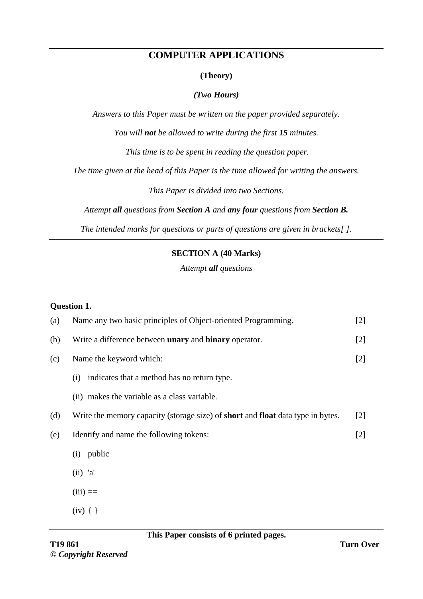### **COMPUTER APPLICATIONS**

#### **(Theory)**

#### *(Two Hours)*

*Answers to this Paper must be written on the paper provided separately.*

*You will not be allowed to write during the first 15 minutes.*

*This time is to be spent in reading the question paper.*

*The time given at the head of this Paper is the time allowed for writing the answers.*

*This Paper is divided into two Sections.*

*Attempt all questions from Section A and any four questions from Section B.*

*The intended marks for questions or parts of questions are given in brackets[ ].*

#### **SECTION A (40 Marks)**

*Attempt all questions*

#### **Question 1.**

| (a) | Name any two basic principles of Object-oriented Programming.                                 | $[2]$ |
|-----|-----------------------------------------------------------------------------------------------|-------|
| (b) | Write a difference between <b>unary</b> and <b>binary</b> operator.                           | $[2]$ |
| (c) | Name the keyword which:                                                                       | $[2]$ |
|     | indicates that a method has no return type.<br>(i)                                            |       |
|     | (ii) makes the variable as a class variable.                                                  |       |
| (d) | Write the memory capacity (storage size) of <b>short</b> and <b>float</b> data type in bytes. | $[2]$ |
| (e) | Identify and name the following tokens:                                                       | [2]   |
|     | public<br>(i)                                                                                 |       |
|     | $(ii)$ 'a'                                                                                    |       |
|     | $(iii) ==$                                                                                    |       |
|     | $(iv)$ { }                                                                                    |       |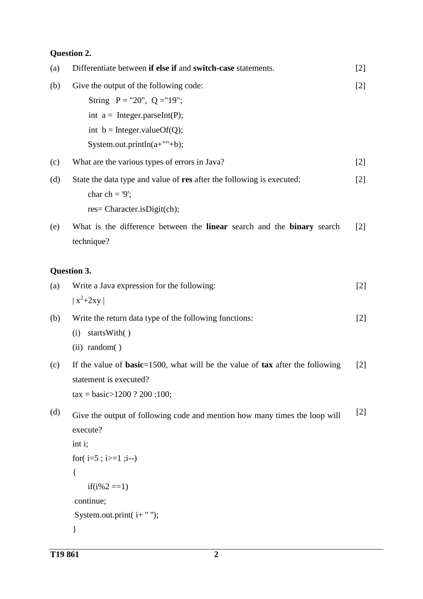# **Question 2.**

| (a) | Differentiate between if else if and switch-case statements.                                                                                                                                         | $[2]$             |
|-----|------------------------------------------------------------------------------------------------------------------------------------------------------------------------------------------------------|-------------------|
| (b) | Give the output of the following code:<br>String $P = "20", Q = "19";$<br>int $a = Integer.parseInt(P);$<br>int $b = Integer.valueOf(Q);$<br>System.out.println( $a+$ ""+b);                         | $[2]$             |
| (c) | What are the various types of errors in Java?                                                                                                                                                        | $[2]$             |
| (d) | State the data type and value of res after the following is executed:<br>char ch = $9$ ;<br>res= Character.isDigit(ch);                                                                              | $[2]$             |
| (e) | What is the difference between the linear search and the binary search<br>technique?                                                                                                                 | $\lceil 2 \rceil$ |
|     | Question 3.                                                                                                                                                                                          |                   |
| (a) | Write a Java expression for the following:<br>$\vert x^2 + 2xy \vert$                                                                                                                                | $[2]$             |
| (b) | Write the return data type of the following functions:<br>startsWith()<br>(i)<br>(ii) random()                                                                                                       | $[2]$             |
| (c) | If the value of <b>basic</b> =1500, what will be the value of $\textbf{tax}$ after the following<br>statement is executed?<br>$\text{tax} = \text{basic} > 1200$ ? 200 :100;                         | $[2]$             |
| (d) | Give the output of following code and mention how many times the loop will<br>execute?<br>int i;<br>for( $i=5$ ; $i>=1$ ; $i=$ )<br>{<br>$if(i\%2 == 1)$<br>continue;<br>System.out.print( $i$ +""); | [2]               |
|     |                                                                                                                                                                                                      |                   |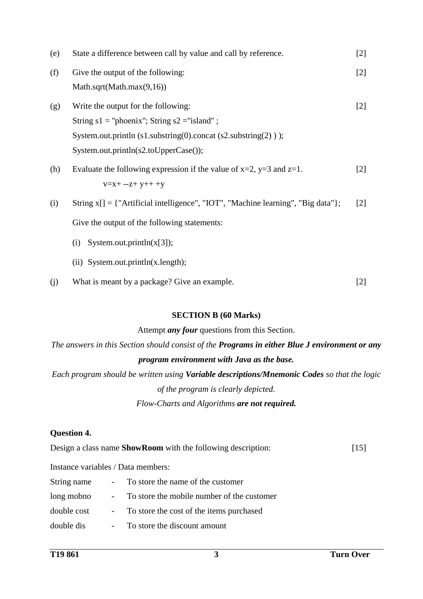| (e) | State a difference between call by value and call by reference.                       | $[2]$             |
|-----|---------------------------------------------------------------------------------------|-------------------|
| (f) | Give the output of the following:                                                     | $[2]$             |
|     | Math.sqrt(Math.max $(9,16)$ )                                                         |                   |
| (g) | Write the output for the following:                                                   | $\lceil 2 \rceil$ |
|     | String $s1 =$ "phoenix"; String $s2 =$ "island";                                      |                   |
|     | System.out.println $(s1$ .substring $(0)$ .concat $(s2$ .substring $(2)$ );           |                   |
|     | System.out.println(s2.toUpperCase());                                                 |                   |
| (h) | Evaluate the following expression if the value of $x=2$ , $y=3$ and $z=1$ .           | $\lceil 2 \rceil$ |
|     | $V = X + -Z + V + + +V$                                                               |                   |
| (i) | String $x[] = \{$ "Artificial intelligence", "IOT", "Machine learning", "Big data" }; | $\lceil 2 \rceil$ |
|     | Give the output of the following statements:                                          |                   |
|     | System.out.println $(x[3])$ ;<br>(i)                                                  |                   |
|     |                                                                                       |                   |

- (ii) System.out.println(x.length);
- (j) What is meant by a package? Give an example. [2]

### **SECTION B (60 Marks)**

#### Attempt *any four* questions from this Section.

*The answers in this Section should consist of the Programs in either Blue J environment or any program environment with Java as the base.*

*Each program should be written using Variable descriptions/Mnemonic Codes so that the logic of the program is clearly depicted. Flow-Charts and Algorithms are not required.*

### **Question 4.**

|  | Design a class name <b>ShowRoom</b> with the following description: | $[15]$ |
|--|---------------------------------------------------------------------|--------|
|--|---------------------------------------------------------------------|--------|

Instance variables / Data members:

| String name | $\sim 100$ | To store the name of the customer          |
|-------------|------------|--------------------------------------------|
| long mobno  | $\sim 100$ | To store the mobile number of the customer |
| double cost | $\sim 100$ | To store the cost of the items purchased   |
| double dis  |            | To store the discount amount               |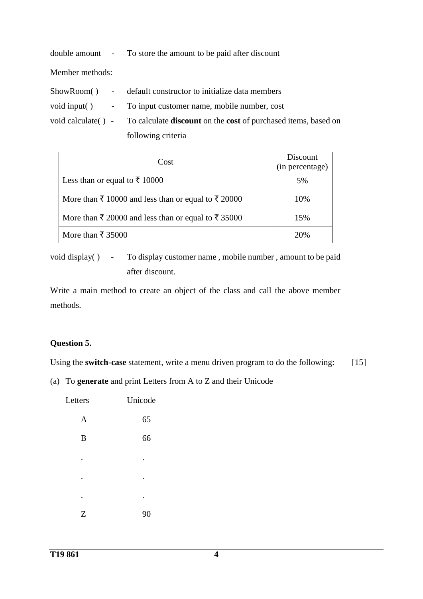|                 | double amount - To store the amount to be paid after discount                                    |
|-----------------|--------------------------------------------------------------------------------------------------|
| Member methods: |                                                                                                  |
|                 | ShowRoom() - default constructor to initialize data members                                      |
|                 | void input() - To input customer name, mobile number, cost                                       |
|                 | void calculate () - To calculate <b>discount</b> on the <b>cost</b> of purchased items, based on |
|                 | following criteria                                                                               |

|                                                                           | Discount        |
|---------------------------------------------------------------------------|-----------------|
| Cost                                                                      | (in percentage) |
| Less than or equal to ₹ 10000                                             | 5%              |
| More than $\bar{\tau}$ 10000 and less than or equal to $\bar{\tau}$ 20000 | 10%             |
| More than $\bar{\tau}$ 20000 and less than or equal to $\bar{\tau}$ 35000 | 15%             |
| More than $\bar{\tau}$ 35000                                              | 20%             |

void display() - To display customer name, mobile number, amount to be paid after discount.

Write a main method to create an object of the class and call the above member methods.

#### **Question 5.**

Using the **switch-case** statement, write a menu driven program to do the following: [15]

(a) To **generate** and print Letters from A to Z and their Unicode

| Letters          | Unicode |
|------------------|---------|
| A                | 65      |
| $\boldsymbol{B}$ | 66      |
|                  |         |
| ٠                | ٠       |
| ٠                | ٠       |
| Z                | 90      |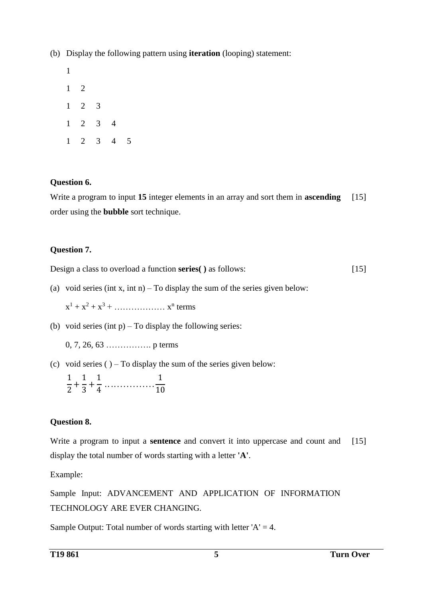(b) Display the following pattern using **iteration** (looping) statement:

### **Question 6.**

Write a program to input **15** integer elements in an array and sort them in **ascending** order using the **bubble** sort technique. [15]

# **Question 7.**

Design a class to overload a function **series( )** as follows: [15]

(a) void series (int x, int n) – To display the sum of the series given below:

 $x^{1} + x^{2} + x^{3} + \dots + x^{n}$  terms

(b) void series (int  $p$ ) – To display the following series:

0, 7, 26, 63 ……………. p terms

(c) void series (  $-$  To display the sum of the series given below:

$$
\frac{1}{2} + \frac{1}{3} + \frac{1}{4} \dots \dots \dots \dots \dots \dots \dots \dots \frac{1}{10}
$$

# **Question 8.**

Write a program to input a **sentence** and convert it into uppercase and count and display the total number of words starting with a letter **'A'**. [15]

Example:

Sample Input: ADVANCEMENT AND APPLICATION OF INFORMATION TECHNOLOGY ARE EVER CHANGING.

Sample Output: Total number of words starting with letter  $'A' = 4$ .